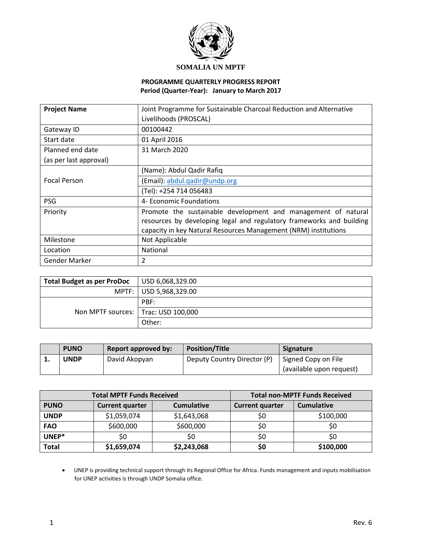

## **SOMALIA UN MPTF**

#### **PROGRAMME QUARTERLY PROGRESS REPORT Period (Quarter-Year): January to March 2017**

| <b>Project Name</b>    | Joint Programme for Sustainable Charcoal Reduction and Alternative                                                                                                                                       |
|------------------------|----------------------------------------------------------------------------------------------------------------------------------------------------------------------------------------------------------|
|                        | Livelihoods (PROSCAL)                                                                                                                                                                                    |
| Gateway ID             | 00100442                                                                                                                                                                                                 |
| Start date             | 01 April 2016                                                                                                                                                                                            |
| Planned end date       | 31 March 2020                                                                                                                                                                                            |
| (as per last approval) |                                                                                                                                                                                                          |
|                        | (Name): Abdul Qadir Rafiq                                                                                                                                                                                |
| <b>Focal Person</b>    | (Email): abdul.gadir@undp.org                                                                                                                                                                            |
|                        | (Tel): +254 714 056483                                                                                                                                                                                   |
| <b>PSG</b>             | 4- Economic Foundations                                                                                                                                                                                  |
| Priority               | Promote the sustainable development and management of natural<br>resources by developing legal and regulatory frameworks and building<br>capacity in key Natural Resources Management (NRM) institutions |
| Milestone              | Not Applicable                                                                                                                                                                                           |
| Location               | National                                                                                                                                                                                                 |
| Gender Marker          | $\overline{2}$                                                                                                                                                                                           |

| <b>Total Budget as per ProDoc</b>     | USD 6,068,329.00         |
|---------------------------------------|--------------------------|
|                                       | MPTF:   USD 5,968,329.00 |
|                                       | PBF:                     |
| Non MPTF sources:   Trac: USD 100,000 |                          |
|                                       | Other:                   |

| <b>PUNO</b>               | Report approved by: | <b>Position/Title</b>       | <b>Signature</b>         |
|---------------------------|---------------------|-----------------------------|--------------------------|
| <br>UNDP<br>David Akopyan |                     | Deputy Country Director (P) | Signed Copy on File      |
|                           |                     |                             | (available upon request) |

|              | <b>Total MPTF Funds Received</b> | <b>Total non-MPTF Funds Received</b> |                        |                   |
|--------------|----------------------------------|--------------------------------------|------------------------|-------------------|
| <b>PUNO</b>  | <b>Current quarter</b>           | <b>Cumulative</b>                    | <b>Current quarter</b> | <b>Cumulative</b> |
| <b>UNDP</b>  | \$1,059,074                      | \$1,643,068                          | S0                     | \$100,000         |
| <b>FAO</b>   | \$600,000                        | \$600,000                            | S0                     | S0                |
| UNEP*        | \$0                              | S0                                   | S0                     | S0                |
| <b>Total</b> | \$1,659,074                      | \$2,243,068                          | \$0                    | \$100,000         |

 UNEP is providing technical support through its Regional Office for Africa. Funds management and inputs mobilisation for UNEP activities is through UNDP Somalia office.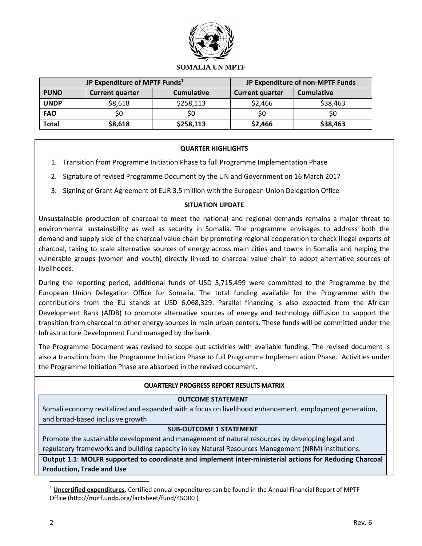

|              | JP Expenditure of MPTF Funds <sup>1</sup>   | JP Expenditure of non-MPTF Funds |                        |                   |
|--------------|---------------------------------------------|----------------------------------|------------------------|-------------------|
| <b>PUNO</b>  | <b>Cumulative</b><br><b>Current quarter</b> |                                  | <b>Current quarter</b> | <b>Cumulative</b> |
| <b>UNDP</b>  | \$8,618                                     | \$258,113                        | \$2,466                | \$38,463          |
| <b>FAO</b>   | S0                                          | S0                               | S0                     | S0                |
| <b>Total</b> | \$8,618                                     | \$258,113                        | \$2,466                | \$38,463          |

#### **QUARTER HIGHLIGHTS**

- 1. Transition from Programme Initiation Phase to full Programme Implementation Phase
- 2. Signature of revised Programme Document by the UN and Government on 16 March 2017
- 3. Signing of Grant Agreement of EUR 3.5 million with the European Union Delegation Office

### **SITUATION UPDATE**

Unsustainable production of charcoal to meet the national and regional demands remains a major threat to environmental sustainability as well as security in Somalia. The programme envisages to address both the demand and supply side of the charcoal value chain by promoting regional cooperation to check illegal exports of charcoal, taking to scale alternative sources of energy across main cities and towns in Somalia and helping the vulnerable groups (women and youth) directly linked to charcoal value chain to adopt alternative sources of livelihoods.

During the reporting period, additional funds of USD 3,715,499 were committed to the Programme by the European Union Delegation Office for Somalia. The total funding available for the Programme with the contributions from the EU stands at USD 6,068,329. Parallel financing is also expected from the African Development Bank (AfDB) to promote alternative sources of energy and technology diffusion to support the transition from charcoal to other energy sources in main urban centers. These funds will be committed under the Infrastructure Development Fund managed by the bank.

The Programme Document was revised to scope out activities with available funding. The revised document is also a transition from the Programme Initiation Phase to full Programme Implementation Phase. Activities under the Programme Initiation Phase are absorbed in the revised document.

#### **QUARTERLY PROGRESS REPORT RESULTS MATRIX**

#### **OUTCOME STATEMENT**

Somali economy revitalized and expanded with a focus on livelihood enhancement, employment generation, and broad-based inclusive growth

#### **SUB-OUTCOME 1 STATEMENT**

Promote the sustainable development and management of natural resources by developing legal and regulatory frameworks and building capacity in key Natural Resources Management (NRM) institutions.

**Output 1.1**: **MOLFR supported to coordinate and implement inter-ministerial actions for Reducing Charcoal Production, Trade and Use**

 $\overline{a}$ 

<sup>1</sup> **Uncertified expenditures**. Certified annual expenditures can be found in the Annual Financial Report of MPTF Office [\(http://mptf.undp.org/factsheet/fund/4SO00](http://mptf.undp.org/factsheet/fund/4SO00) )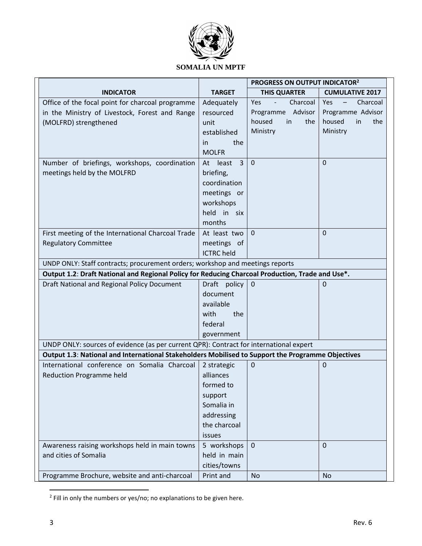

## **SOMALIA UN MPTF**

|                                                                                                   |                               | PROGRESS ON OUTPUT INDICATOR <sup>2</sup> |                                             |
|---------------------------------------------------------------------------------------------------|-------------------------------|-------------------------------------------|---------------------------------------------|
| <b>INDICATOR</b>                                                                                  | <b>TARGET</b>                 | <b>THIS QUARTER</b>                       | <b>CUMULATIVE 2017</b>                      |
| Office of the focal point for charcoal programme                                                  | Adequately                    | Yes<br>Charcoal<br>$\omega$               | Yes<br>$\overline{\phantom{m}}$<br>Charcoal |
| in the Ministry of Livestock, Forest and Range                                                    | resourced                     | Programme Advisor                         | Programme Advisor                           |
| (MOLFRD) strengthened                                                                             | unit                          | housed<br>in<br>the                       | housed<br>in<br>the                         |
|                                                                                                   | established                   | Ministry                                  | Ministry                                    |
|                                                                                                   | the<br>in                     |                                           |                                             |
|                                                                                                   | <b>MOLFR</b>                  |                                           |                                             |
| Number of briefings, workshops, coordination                                                      | $\overline{3}$<br>At<br>least | $\mathbf 0$                               | $\mathbf 0$                                 |
| meetings held by the MOLFRD                                                                       | briefing,                     |                                           |                                             |
|                                                                                                   | coordination                  |                                           |                                             |
|                                                                                                   | meetings or                   |                                           |                                             |
|                                                                                                   | workshops                     |                                           |                                             |
|                                                                                                   | held in six                   |                                           |                                             |
|                                                                                                   | months                        |                                           |                                             |
| First meeting of the International Charcoal Trade                                                 | At least two                  | $\overline{0}$                            | $\Omega$                                    |
| <b>Regulatory Committee</b>                                                                       | meetings of                   |                                           |                                             |
|                                                                                                   | <b>ICTRC</b> held             |                                           |                                             |
| UNDP ONLY: Staff contracts; procurement orders; workshop and meetings reports                     |                               |                                           |                                             |
| Output 1.2: Draft National and Regional Policy for Reducing Charcoal Production, Trade and Use*.  |                               |                                           |                                             |
| Draft National and Regional Policy Document                                                       | Draft policy                  | $\mathbf 0$                               | $\mathbf 0$                                 |
|                                                                                                   | document                      |                                           |                                             |
|                                                                                                   | available                     |                                           |                                             |
|                                                                                                   | the<br>with                   |                                           |                                             |
|                                                                                                   | federal                       |                                           |                                             |
|                                                                                                   | government                    |                                           |                                             |
| UNDP ONLY: sources of evidence (as per current QPR): Contract for international expert            |                               |                                           |                                             |
| Output 1.3: National and International Stakeholders Mobilised to Support the Programme Objectives |                               |                                           |                                             |
| International conference on Somalia Charcoal                                                      | 2 strategic                   | $\mathbf 0$                               | $\mathbf 0$                                 |
| <b>Reduction Programme held</b>                                                                   | alliances                     |                                           |                                             |
|                                                                                                   | formed to                     |                                           |                                             |
|                                                                                                   | support                       |                                           |                                             |
|                                                                                                   | Somalia in                    |                                           |                                             |
|                                                                                                   | addressing                    |                                           |                                             |
|                                                                                                   | the charcoal                  |                                           |                                             |
|                                                                                                   | issues                        |                                           |                                             |
| Awareness raising workshops held in main towns                                                    | 5 workshops                   | $\overline{0}$                            | $\mathbf{0}$                                |
| and cities of Somalia                                                                             | held in main                  |                                           |                                             |
|                                                                                                   | cities/towns                  |                                           |                                             |
| Programme Brochure, website and anti-charcoal                                                     | Print and                     | No                                        | <b>No</b>                                   |

 2 Fill in only the numbers or yes/no; no explanations to be given here.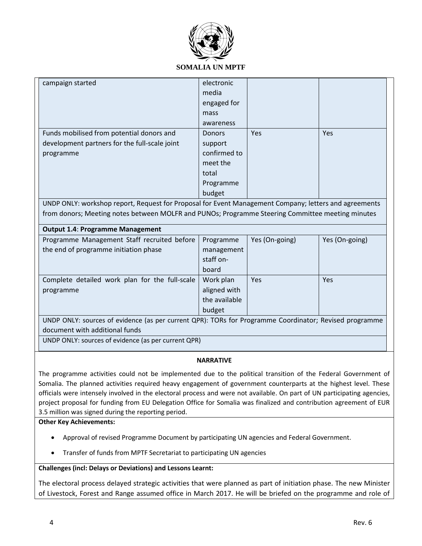

### **SOMALIA UN MPTF**

| campaign started                                                                                       | electronic                    |                |                |  |  |  |  |
|--------------------------------------------------------------------------------------------------------|-------------------------------|----------------|----------------|--|--|--|--|
|                                                                                                        | media                         |                |                |  |  |  |  |
|                                                                                                        | engaged for                   |                |                |  |  |  |  |
|                                                                                                        | mass                          |                |                |  |  |  |  |
|                                                                                                        | awareness                     |                |                |  |  |  |  |
| Funds mobilised from potential donors and                                                              | <b>Donors</b>                 | Yes            | <b>Yes</b>     |  |  |  |  |
| development partners for the full-scale joint                                                          | support                       |                |                |  |  |  |  |
| programme                                                                                              | confirmed to                  |                |                |  |  |  |  |
|                                                                                                        | meet the                      |                |                |  |  |  |  |
|                                                                                                        | total                         |                |                |  |  |  |  |
|                                                                                                        | Programme                     |                |                |  |  |  |  |
|                                                                                                        | budget                        |                |                |  |  |  |  |
| UNDP ONLY: workshop report, Request for Proposal for Event Management Company; letters and agreements  |                               |                |                |  |  |  |  |
| from donors; Meeting notes between MOLFR and PUNOs; Programme Steering Committee meeting minutes       |                               |                |                |  |  |  |  |
| <b>Output 1.4: Programme Management</b>                                                                |                               |                |                |  |  |  |  |
| Programme Management Staff recruited before                                                            | Programme                     | Yes (On-going) | Yes (On-going) |  |  |  |  |
| the end of programme initiation phase                                                                  | management                    |                |                |  |  |  |  |
|                                                                                                        |                               |                |                |  |  |  |  |
|                                                                                                        | staff on-                     |                |                |  |  |  |  |
|                                                                                                        | board                         |                |                |  |  |  |  |
| Complete detailed work plan for the full-scale                                                         | Work plan                     | Yes            | Yes            |  |  |  |  |
|                                                                                                        |                               |                |                |  |  |  |  |
| programme                                                                                              | aligned with<br>the available |                |                |  |  |  |  |
|                                                                                                        | budget                        |                |                |  |  |  |  |
| UNDP ONLY: sources of evidence (as per current QPR): TORs for Programme Coordinator; Revised programme |                               |                |                |  |  |  |  |
| document with additional funds                                                                         |                               |                |                |  |  |  |  |
| UNDP ONLY: sources of evidence (as per current QPR)                                                    |                               |                |                |  |  |  |  |

#### **NARRATIVE**

The programme activities could not be implemented due to the political transition of the Federal Government of Somalia. The planned activities required heavy engagement of government counterparts at the highest level. These officials were intensely involved in the electoral process and were not available. On part of UN participating agencies, project proposal for funding from EU Delegation Office for Somalia was finalized and contribution agreement of EUR 3.5 million was signed during the reporting period.

#### **Other Key Achievements:**

- Approval of revised Programme Document by participating UN agencies and Federal Government.
- Transfer of funds from MPTF Secretariat to participating UN agencies

#### **Challenges (incl: Delays or Deviations) and Lessons Learnt:**

The electoral process delayed strategic activities that were planned as part of initiation phase. The new Minister of Livestock, Forest and Range assumed office in March 2017. He will be briefed on the programme and role of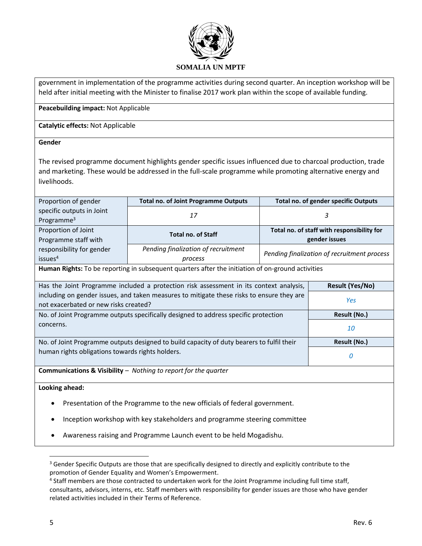

government in implementation of the programme activities during second quarter. An inception workshop will be held after initial meeting with the Minister to finalise 2017 work plan within the scope of available funding.

**Peacebuilding impact:** Not Applicable

**Catalytic effects:** Not Applicable

#### **Gender**

The revised programme document highlights gender specific issues influenced due to charcoal production, trade and marketing. These would be addressed in the full-scale programme while promoting alternative energy and livelihoods.

| Proportion of gender                                                                                | <b>Total no. of Joint Programme Outputs</b>                                                                                               |                                            | <b>Total no. of gender specific Outputs</b> |  |  |  |  |
|-----------------------------------------------------------------------------------------------------|-------------------------------------------------------------------------------------------------------------------------------------------|--------------------------------------------|---------------------------------------------|--|--|--|--|
| specific outputs in Joint                                                                           | 17<br>3                                                                                                                                   |                                            |                                             |  |  |  |  |
| Programme $3$                                                                                       |                                                                                                                                           |                                            |                                             |  |  |  |  |
| Proportion of Joint                                                                                 | <b>Total no. of Staff</b>                                                                                                                 | Total no. of staff with responsibility for |                                             |  |  |  |  |
| Programme staff with                                                                                |                                                                                                                                           | gender issues                              |                                             |  |  |  |  |
| responsibility for gender                                                                           | Pending finalization of recruitment                                                                                                       |                                            | Pending finalization of recruitment process |  |  |  |  |
| issues <sup>4</sup>                                                                                 | process                                                                                                                                   |                                            |                                             |  |  |  |  |
|                                                                                                     | Human Rights: To be reporting in subsequent quarters after the initiation of on-ground activities                                         |                                            |                                             |  |  |  |  |
|                                                                                                     | Has the Joint Programme included a protection risk assessment in its context analysis,                                                    |                                            | <b>Result (Yes/No)</b>                      |  |  |  |  |
|                                                                                                     |                                                                                                                                           |                                            |                                             |  |  |  |  |
|                                                                                                     | including on gender issues, and taken measures to mitigate these risks to ensure they are<br>Yes<br>not exacerbated or new risks created? |                                            |                                             |  |  |  |  |
| Result (No.)<br>No. of Joint Programme outputs specifically designed to address specific protection |                                                                                                                                           |                                            |                                             |  |  |  |  |
| concerns.                                                                                           |                                                                                                                                           |                                            |                                             |  |  |  |  |
| 10                                                                                                  |                                                                                                                                           |                                            |                                             |  |  |  |  |
|                                                                                                     | Result (No.)<br>No. of Joint Programme outputs designed to build capacity of duty bearers to fulfil their                                 |                                            |                                             |  |  |  |  |
| human rights obligations towards rights holders.                                                    |                                                                                                                                           |                                            | 0                                           |  |  |  |  |
|                                                                                                     |                                                                                                                                           |                                            |                                             |  |  |  |  |
| <b>Communications &amp; Visibility</b> $-$ Nothing to report for the quarter                        |                                                                                                                                           |                                            |                                             |  |  |  |  |
| Looking ahead:                                                                                      |                                                                                                                                           |                                            |                                             |  |  |  |  |
| Presentation of the Programme to the new officials of federal government.                           |                                                                                                                                           |                                            |                                             |  |  |  |  |
| Inception workshop with key stakeholders and programme steering committee                           |                                                                                                                                           |                                            |                                             |  |  |  |  |

Awareness raising and Programme Launch event to be held Mogadishu.

 $\overline{\phantom{a}}$ 

<sup>&</sup>lt;sup>3</sup> Gender Specific Outputs are those that are specifically designed to directly and explicitly contribute to the promotion of Gender Equality and Women's Empowerment.

<sup>&</sup>lt;sup>4</sup> Staff members are those contracted to undertaken work for the Joint Programme including full time staff, consultants, advisors, interns, etc. Staff members with responsibility for gender issues are those who have gender related activities included in their Terms of Reference.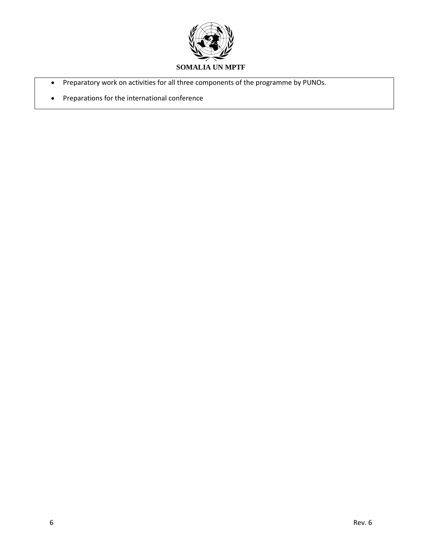

- Preparatory work on activities for all three components of the programme by PUNOs.
- Preparations for the international conference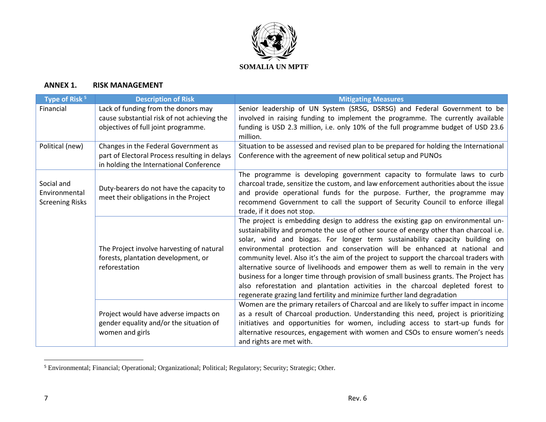

## **ANNEX 1. RISK MANAGEMENT**

| Type of Risk <sup>5</sup>                             | <b>Description of Risk</b>                                                                                                       | <b>Mitigating Measures</b>                                                                                                                                                                                                                                                                                                                                                                                                                                                                                                                                                                                                                                                                                                                                                   |
|-------------------------------------------------------|----------------------------------------------------------------------------------------------------------------------------------|------------------------------------------------------------------------------------------------------------------------------------------------------------------------------------------------------------------------------------------------------------------------------------------------------------------------------------------------------------------------------------------------------------------------------------------------------------------------------------------------------------------------------------------------------------------------------------------------------------------------------------------------------------------------------------------------------------------------------------------------------------------------------|
| Financial                                             | Lack of funding from the donors may<br>cause substantial risk of not achieving the<br>objectives of full joint programme.        | Senior leadership of UN System (SRSG, DSRSG) and Federal Government to be<br>involved in raising funding to implement the programme. The currently available<br>funding is USD 2.3 million, i.e. only 10% of the full programme budget of USD 23.6<br>million.                                                                                                                                                                                                                                                                                                                                                                                                                                                                                                               |
| Political (new)                                       | Changes in the Federal Government as<br>part of Electoral Process resulting in delays<br>in holding the International Conference | Situation to be assessed and revised plan to be prepared for holding the International<br>Conference with the agreement of new political setup and PUNOs                                                                                                                                                                                                                                                                                                                                                                                                                                                                                                                                                                                                                     |
| Social and<br>Environmental<br><b>Screening Risks</b> | Duty-bearers do not have the capacity to<br>meet their obligations in the Project                                                | The programme is developing government capacity to formulate laws to curb<br>charcoal trade, sensitize the custom, and law enforcement authorities about the issue<br>and provide operational funds for the purpose. Further, the programme may<br>recommend Government to call the support of Security Council to enforce illegal<br>trade, if it does not stop.                                                                                                                                                                                                                                                                                                                                                                                                            |
|                                                       | The Project involve harvesting of natural<br>forests, plantation development, or<br>reforestation                                | The project is embedding design to address the existing gap on environmental un-<br>sustainability and promote the use of other source of energy other than charcoal i.e.<br>solar, wind and biogas. For longer term sustainability capacity building on<br>environmental protection and conservation will be enhanced at national and<br>community level. Also it's the aim of the project to support the charcoal traders with<br>alternative source of livelihoods and empower them as well to remain in the very<br>business for a longer time through provision of small business grants. The Project has<br>also reforestation and plantation activities in the charcoal depleted forest to<br>regenerate grazing land fertility and minimize further land degradation |
|                                                       | Project would have adverse impacts on<br>gender equality and/or the situation of<br>women and girls                              | Women are the primary retailers of Charcoal and are likely to suffer impact in income<br>as a result of Charcoal production. Understanding this need, project is prioritizing<br>initiatives and opportunities for women, including access to start-up funds for<br>alternative resources, engagement with women and CSOs to ensure women's needs<br>and rights are met with.                                                                                                                                                                                                                                                                                                                                                                                                |

<sup>&</sup>lt;sup>5</sup> Environmental; Financial; Operational; Organizational; Political; Regulatory; Security; Strategic; Other.

 $\overline{a}$